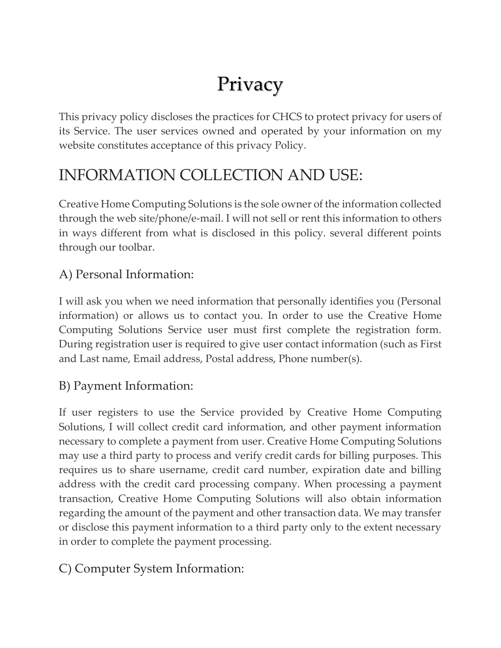# Privacy

This privacy policy discloses the practices for CHCS to protect privacy for users of its Service. The user services owned and operated by your information on my website constitutes acceptance of this privacy Policy.

# INFORMATION COLLECTION AND USE:

Creative Home Computing Solutions is the sole owner of the information collected through the web site/phone/e-mail. I will not sell or rent this information to others in ways different from what is disclosed in this policy. several different points through our toolbar.

## A) Personal Information:

I will ask you when we need information that personally identifies you (Personal information) or allows us to contact you. In order to use the Creative Home Computing Solutions Service user must first complete the registration form. During registration user is required to give user contact information (such as First and Last name, Email address, Postal address, Phone number(s).

### B) Payment Information:

If user registers to use the Service provided by Creative Home Computing Solutions, I will collect credit card information, and other payment information necessary to complete a payment from user. Creative Home Computing Solutions may use a third party to process and verify credit cards for billing purposes. This requires us to share username, credit card number, expiration date and billing address with the credit card processing company. When processing a payment transaction, Creative Home Computing Solutions will also obtain information regarding the amount of the payment and other transaction data. We may transfer or disclose this payment information to a third party only to the extent necessary in order to complete the payment processing.

C) Computer System Information: